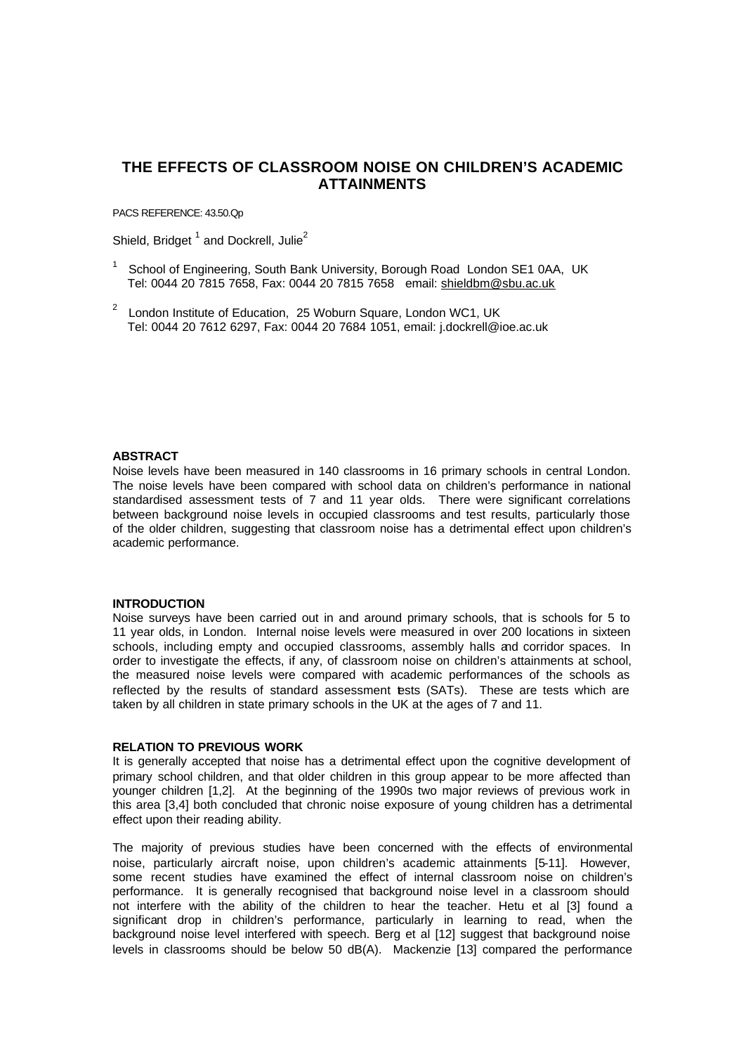# **THE EFFECTS OF CLASSROOM NOISE ON CHILDREN'S ACADEMIC ATTAINMENTS**

PACS REFERENCE: 43.50.Qp

Shield, Bridget<sup>1</sup> and Dockrell, Julie<sup>2</sup>

- <sup>1</sup> School of Engineering, South Bank University, Borough Road London SE1 0AA, UK Tel: 0044 20 7815 7658, Fax: 0044 20 7815 7658 email: shieldbm@sbu.ac.uk
- $2^2$  London Institute of Education, 25 Woburn Square, London WC1, UK Tel: 0044 20 7612 6297, Fax: 0044 20 7684 1051, email: j.dockrell@ioe.ac.uk

# **ABSTRACT**

Noise levels have been measured in 140 classrooms in 16 primary schools in central London. The noise levels have been compared with school data on children's performance in national standardised assessment tests of 7 and 11 year olds. There were significant correlations between background noise levels in occupied classrooms and test results, particularly those of the older children, suggesting that classroom noise has a detrimental effect upon children's academic performance.

#### **INTRODUCTION**

Noise surveys have been carried out in and around primary schools, that is schools for 5 to 11 year olds, in London. Internal noise levels were measured in over 200 locations in sixteen schools, including empty and occupied classrooms, assembly halls and corridor spaces. In order to investigate the effects, if any, of classroom noise on children's attainments at school, the measured noise levels were compared with academic performances of the schools as reflected by the results of standard assessment tests (SATs). These are tests which are taken by all children in state primary schools in the UK at the ages of 7 and 11.

## **RELATION TO PREVIOUS WORK**

It is generally accepted that noise has a detrimental effect upon the cognitive development of primary school children, and that older children in this group appear to be more affected than younger children [1,2]. At the beginning of the 1990s two major reviews of previous work in this area [3,4] both concluded that chronic noise exposure of young children has a detrimental effect upon their reading ability.

The majority of previous studies have been concerned with the effects of environmental noise, particularly aircraft noise, upon children's academic attainments [5-11]. However, some recent studies have examined the effect of internal classroom noise on children's performance. It is generally recognised that background noise level in a classroom should not interfere with the ability of the children to hear the teacher. Hetu et al [3] found a significant drop in children's performance, particularly in learning to read, when the background noise level interfered with speech. Berg et al [12] suggest that background noise levels in classrooms should be below 50 dB(A). Mackenzie [13] compared the performance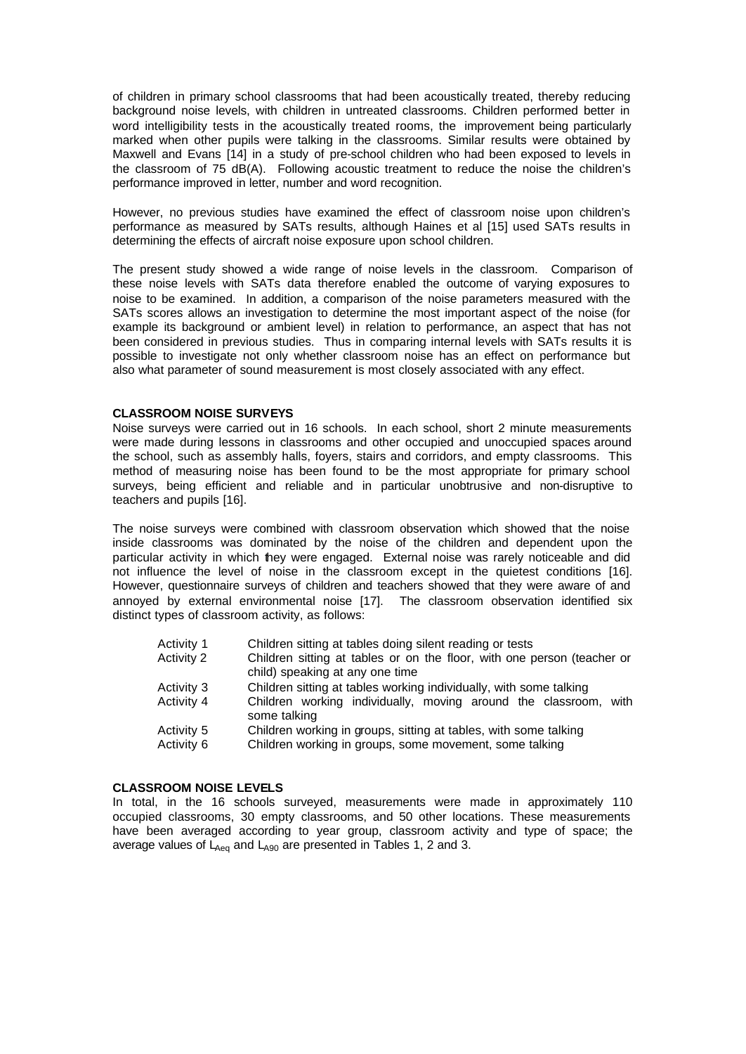of children in primary school classrooms that had been acoustically treated, thereby reducing background noise levels, with children in untreated classrooms. Children performed better in word intelligibility tests in the acoustically treated rooms, the improvement being particularly marked when other pupils were talking in the classrooms. Similar results were obtained by Maxwell and Evans [14] in a study of pre-school children who had been exposed to levels in the classroom of 75 dB(A). Following acoustic treatment to reduce the noise the children's performance improved in letter, number and word recognition.

However, no previous studies have examined the effect of classroom noise upon children's performance as measured by SATs results, although Haines et al [15] used SATs results in determining the effects of aircraft noise exposure upon school children.

The present study showed a wide range of noise levels in the classroom. Comparison of these noise levels with SATs data therefore enabled the outcome of varying exposures to noise to be examined. In addition, a comparison of the noise parameters measured with the SATs scores allows an investigation to determine the most important aspect of the noise (for example its background or ambient level) in relation to performance, an aspect that has not been considered in previous studies. Thus in comparing internal levels with SATs results it is possible to investigate not only whether classroom noise has an effect on performance but also what parameter of sound measurement is most closely associated with any effect.

## **CLASSROOM NOISE SURVEYS**

Noise surveys were carried out in 16 schools. In each school, short 2 minute measurements were made during lessons in classrooms and other occupied and unoccupied spaces around the school, such as assembly halls, foyers, stairs and corridors, and empty classrooms. This method of measuring noise has been found to be the most appropriate for primary school surveys, being efficient and reliable and in particular unobtrusive and non-disruptive to teachers and pupils [16].

The noise surveys were combined with classroom observation which showed that the noise inside classrooms was dominated by the noise of the children and dependent upon the particular activity in which they were engaged. External noise was rarely noticeable and did not influence the level of noise in the classroom except in the quietest conditions [16]. However, questionnaire surveys of children and teachers showed that they were aware of and annoyed by external environmental noise [17]. The classroom observation identified six distinct types of classroom activity, as follows:

| Activity 1 | Children sitting at tables doing silent reading or tests                         |  |  |  |  |
|------------|----------------------------------------------------------------------------------|--|--|--|--|
| Activity 2 | Children sitting at tables or on the floor, with one person (teacher or          |  |  |  |  |
|            | child) speaking at any one time                                                  |  |  |  |  |
| Activity 3 | Children sitting at tables working individually, with some talking               |  |  |  |  |
| Activity 4 | Children working individually, moving around the classroom, with<br>some talking |  |  |  |  |
| Activity 5 | Children working in groups, sitting at tables, with some talking                 |  |  |  |  |
| Activity 6 | Children working in groups, some movement, some talking                          |  |  |  |  |

# **CLASSROOM NOISE LEVELS**

In total, in the 16 schools surveyed, measurements were made in approximately 110 occupied classrooms, 30 empty classrooms, and 50 other locations. These measurements have been averaged according to year group, classroom activity and type of space; the average values of  $L_{Ae0}$  and  $L_{A90}$  are presented in Tables 1, 2 and 3.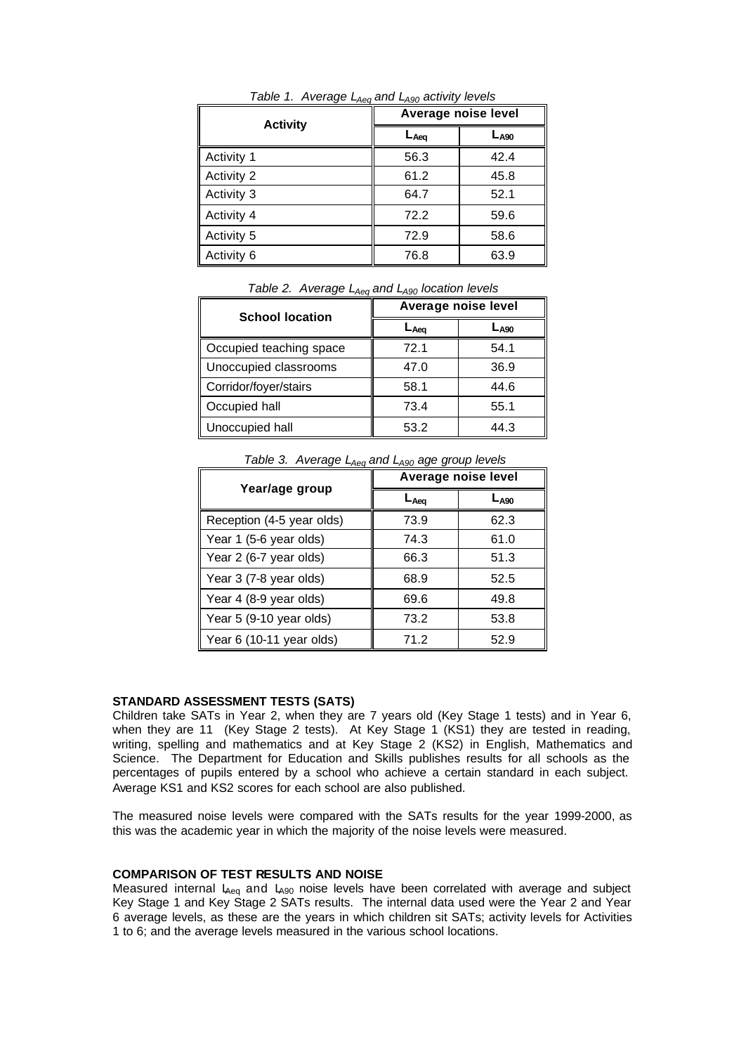| <b>Activity</b>   | Average noise level |           |  |
|-------------------|---------------------|-----------|--|
|                   | $L_{Aeq}$           | $L_{A90}$ |  |
| Activity 1        | 56.3                | 42.4      |  |
| <b>Activity 2</b> | 61.2                | 45.8      |  |
| Activity 3        | 64.7                | 52.1      |  |
| Activity 4        | 72.2                | 59.6      |  |
| Activity 5        | 72.9                | 58.6      |  |
| Activity 6        | 76.8                | 63.9      |  |

*Table 1. Average LAeq and LA90 activity levels*

| <b>School location</b>  | Average noise level |           |  |  |
|-------------------------|---------------------|-----------|--|--|
|                         | ∟ <sub>Aeα</sub>    | $L_{A90}$ |  |  |
| Occupied teaching space | 72.1                | 54.1      |  |  |
| Unoccupied classrooms   | 47.0                | 36.9      |  |  |
| Corridor/foyer/stairs   | 58.1                | 44.6      |  |  |
| Occupied hall           | 73.4                | 55.1      |  |  |
| Unoccupied hall         | 53.2                | 44.3      |  |  |

*Table 2. Average LAeq and LA90 location levels*

|                           | $\mu$ abio o: $\mu$ vorago $L_{A}$ egana $L_{A}$ g $\mu$ ago group iovoio<br>Average noise level |                  |  |
|---------------------------|--------------------------------------------------------------------------------------------------|------------------|--|
| Year/age group            | $L_{Aea}$                                                                                        | L <sub>A90</sub> |  |
| Reception (4-5 year olds) | 73.9                                                                                             | 62.3             |  |
| Year 1 (5-6 year olds)    | 74.3                                                                                             | 61.0             |  |
| Year 2 (6-7 year olds)    | 66.3                                                                                             | 51.3             |  |
| Year 3 (7-8 year olds)    | 68.9                                                                                             | 52.5             |  |
| Year 4 (8-9 year olds)    | 69.6                                                                                             | 49.8             |  |
| Year 5 (9-10 year olds)   | 73.2                                                                                             | 53.8             |  |
| Year 6 (10-11 year olds)  | 71.2                                                                                             | 52.9             |  |

 *Table 3. Average LAeq and LA90 age group levels* 

#### **STANDARD ASSESSMENT TESTS (SATS)**

Children take SATs in Year 2, when they are 7 years old (Key Stage 1 tests) and in Year 6, when they are 11 (Key Stage 2 tests). At Key Stage 1 (KS1) they are tested in reading, writing, spelling and mathematics and at Key Stage 2 (KS2) in English, Mathematics and Science. The Department for Education and Skills publishes results for all schools as the percentages of pupils entered by a school who achieve a certain standard in each subject. Average KS1 and KS2 scores for each school are also published.

The measured noise levels were compared with the SATs results for the year 1999-2000, as this was the academic year in which the majority of the noise levels were measured.

# **COMPARISON OF TEST RESULTS AND NOISE**

Measured internal  $L_{Ae0}$  and  $L_{A90}$  noise levels have been correlated with average and subject Key Stage 1 and Key Stage 2 SATs results. The internal data used were the Year 2 and Year 6 average levels, as these are the years in which children sit SATs; activity levels for Activities 1 to 6; and the average levels measured in the various school locations.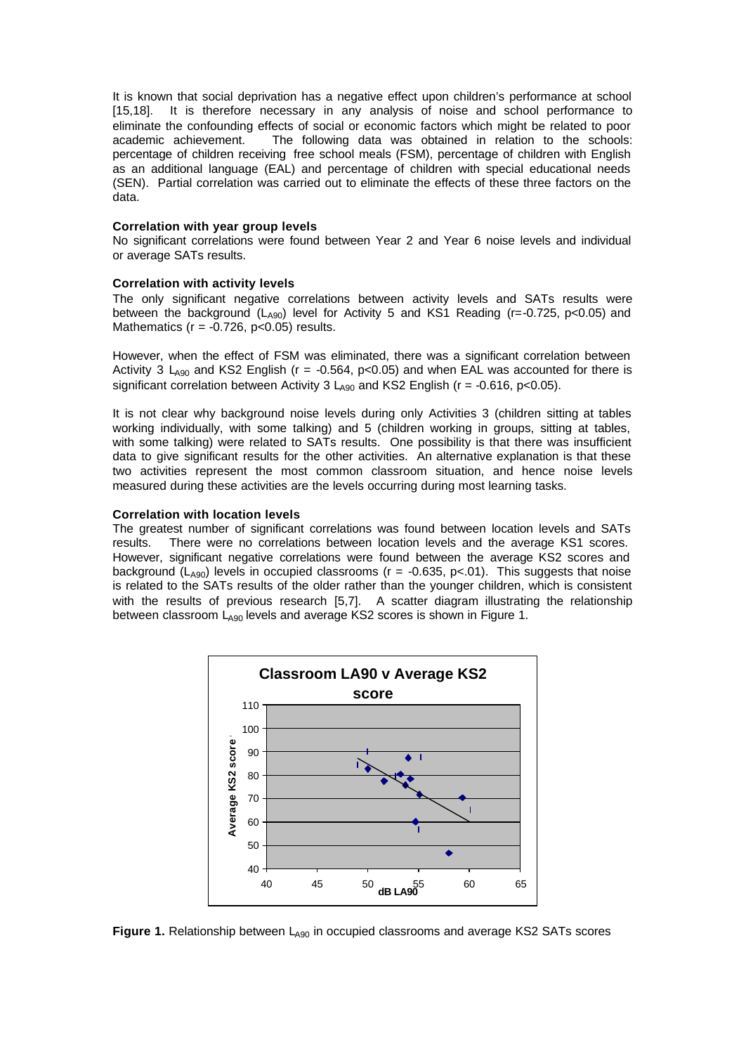It is known that social deprivation has a negative effect upon children's performance at school [15,18]. It is therefore necessary in any analysis of noise and school performance to eliminate the confounding effects of social or economic factors which might be related to poor academic achievement. The following data was obtained in relation to the schools: percentage of children receiving free school meals (FSM), percentage of children with English as an additional language (EAL) and percentage of children with special educational needs (SEN). Partial correlation was carried out to eliminate the effects of these three factors on the data.

#### **Correlation with year group levels**

No significant correlations were found between Year 2 and Year 6 noise levels and individual or average SATs results.

## **Correlation with activity levels**

The only significant negative correlations between activity levels and SATs results were between the background  $(L<sub>490</sub>)$  level for Activity 5 and KS1 Reading (r=-0.725, p<0.05) and Mathematics ( $r = -0.726$ ,  $p < 0.05$ ) results.

However, when the effect of FSM was eliminated, there was a significant correlation between Activity 3 L<sub>A90</sub> and KS2 English ( $r = -0.564$ ,  $p < 0.05$ ) and when EAL was accounted for there is significant correlation between Activity 3  $L_{A90}$  and KS2 English (r = -0.616, p<0.05).

It is not clear why background noise levels during only Activities 3 (children sitting at tables working individually, with some talking) and 5 (children working in groups, sitting at tables, with some talking) were related to SATs results. One possibility is that there was insufficient data to give significant results for the other activities. An alternative explanation is that these two activities represent the most common classroom situation, and hence noise levels measured during these activities are the levels occurring during most learning tasks.

## **Correlation with location levels**

The greatest number of significant correlations was found between location levels and SATs results. There were no correlations between location levels and the average KS1 scores. However, significant negative correlations were found between the average KS2 scores and background ( $L_{A90}$ ) levels in occupied classrooms ( $r = -0.635$ ,  $p < 01$ ). This suggests that noise is related to the SATs results of the older rather than the younger children, which is consistent with the results of previous research [5,7]. A scatter diagram illustrating the relationship between classroom L<sub>A90</sub> levels and average KS2 scores is shown in Figure 1.



**Figure 1.** Relationship between L<sub>A90</sub> in occupied classrooms and average KS2 SATs scores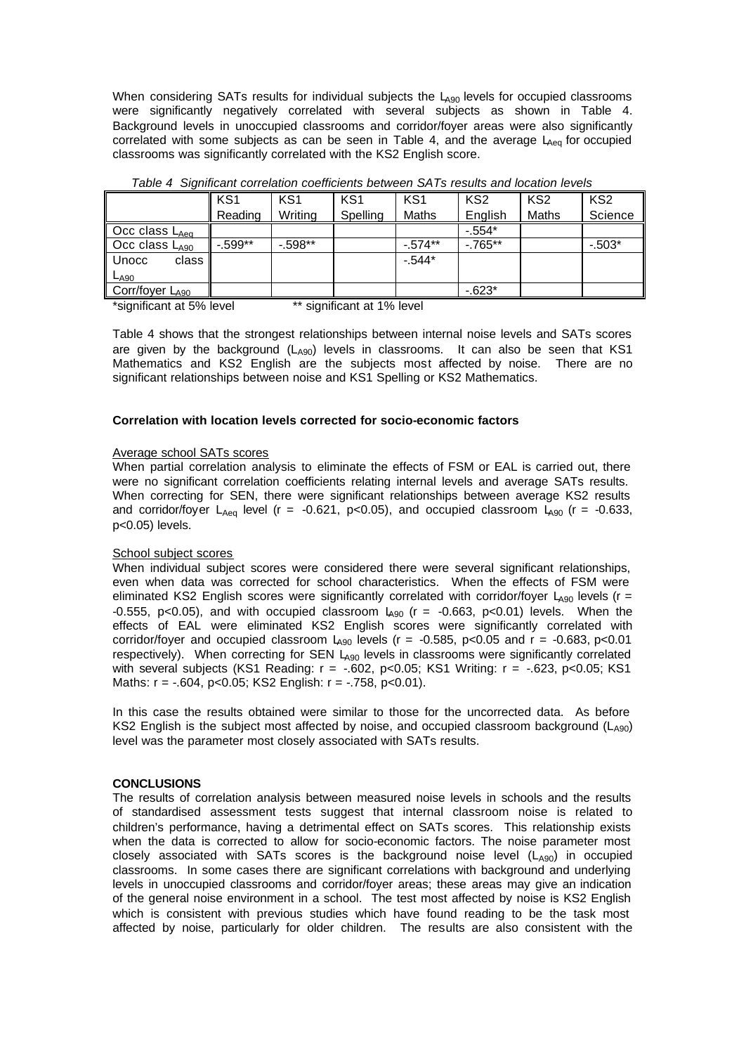When considering SATs results for individual subjects the LA90 levels for occupied classrooms were significantly negatively correlated with several subjects as shown in Table 4. Background levels in unoccupied classrooms and corridor/foyer areas were also significantly correlated with some subjects as can be seen in Table 4, and the average  $L_{Aeq}$  for occupied classrooms was significantly correlated with the KS2 English score.

|                            | KS <sub>1</sub> | KS <sub>1</sub> | KS <sub>1</sub> | KS <sub>1</sub> | KS <sub>2</sub> | KS <sub>2</sub> | KS <sub>2</sub> |
|----------------------------|-----------------|-----------------|-----------------|-----------------|-----------------|-----------------|-----------------|
|                            | Reading         | Writing         | Spelling        | Maths           | English         | Maths           | Science         |
| Occ class LAeq             |                 |                 |                 |                 | $-554*$         |                 |                 |
| Occ class L <sub>A90</sub> | $-.599**$       | $-598**$        |                 | $-0.574**$      | $-765**$        |                 | $-503*$         |
| Unocc<br>class             |                 |                 |                 | $-544*$         |                 |                 |                 |
| $L_{A90}$                  |                 |                 |                 |                 |                 |                 |                 |
| Corr/foyer LA90            |                 |                 |                 |                 | $-623*$         |                 |                 |

 *Table 4 Significant correlation coefficients between SATs results and location levels*

\*significant at 5% level \*\* significant at 1% level

Table 4 shows that the strongest relationships between internal noise levels and SATs scores are given by the background  $(L<sub>AG0</sub>)$  levels in classrooms. It can also be seen that KS1 Mathematics and KS2 English are the subjects most affected by noise. There are no significant relationships between noise and KS1 Spelling or KS2 Mathematics.

## **Correlation with location levels corrected for socio-economic factors**

#### Average school SATs scores

When partial correlation analysis to eliminate the effects of FSM or EAL is carried out, there were no significant correlation coefficients relating internal levels and average SATs results. When correcting for SEN, there were significant relationships between average KS2 results and corridor/foyer  $L_{Aeq}$  level (r = -0.621, p<0.05), and occupied classroom  $L_{A90}$  (r = -0.633, p<0.05) levels.

# School subject scores

When individual subject scores were considered there were several significant relationships, even when data was corrected for school characteristics. When the effects of FSM were eliminated KS2 English scores were significantly correlated with corridor/foyer  $L_{A90}$  levels (r = -0.555, p<0.05), and with occupied classroom  $L_{A90}$  (r = -0.663, p<0.01) levels. When the effects of EAL were eliminated KS2 English scores were significantly correlated with corridor/foyer and occupied classroom  $L_{A90}$  levels (r = -0.585, p<0.05 and r = -0.683, p<0.01 respectively). When correcting for SEN LA90 levels in classrooms were significantly correlated with several subjects (KS1 Reading: r = -.602, p<0.05; KS1 Writing: r = -.623, p<0.05; KS1 Maths: r = -.604, p<0.05; KS2 English: r = -.758, p<0.01).

In this case the results obtained were similar to those for the uncorrected data. As before KS2 English is the subject most affected by noise, and occupied classroom background ( $L_{A90}$ ) level was the parameter most closely associated with SATs results.

#### **CONCLUSIONS**

The results of correlation analysis between measured noise levels in schools and the results of standardised assessment tests suggest that internal classroom noise is related to children's performance, having a detrimental effect on SATs scores. This relationship exists when the data is corrected to allow for socio-economic factors. The noise parameter most closely associated with SATs scores is the background noise level  $(L_{A90})$  in occupied classrooms. In some cases there are significant correlations with background and underlying levels in unoccupied classrooms and corridor/foyer areas; these areas may give an indication of the general noise environment in a school. The test most affected by noise is KS2 English which is consistent with previous studies which have found reading to be the task most affected by noise, particularly for older children. The results are also consistent with the